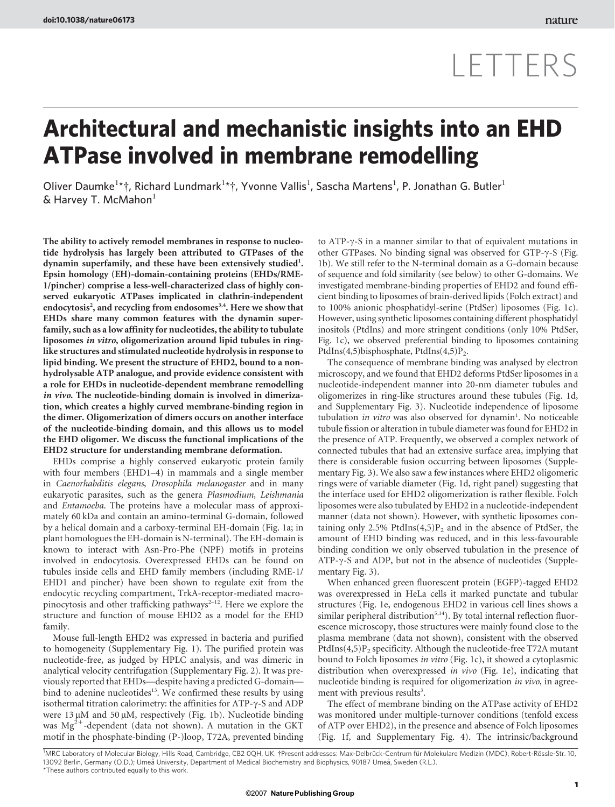# LETTERS

## Architectural and mechanistic insights into an EHD ATPase involved in membrane remodelling

Oliver Daumke<sup>1\*</sup>†, Richard Lundmark<sup>1\*</sup>†, Yvonne Vallis<sup>1</sup>, Sascha Martens<sup>1</sup>, P. Jonathan G. Butler<sup>1</sup>  $&$  Harvey T. McMahon $<sup>1</sup>$ </sup>

The ability to actively remodel membranes in response to nucleotide hydrolysis has largely been attributed to GTPases of the dynamin superfamily, and these have been extensively studied<sup>1</sup>. Epsin homology (EH)-domain-containing proteins (EHDs/RME-1/pincher) comprise a less-well-characterized class of highly conserved eukaryotic ATPases implicated in clathrin-independent endocytosis<sup>2</sup>, and recycling from endosomes<sup>3,4</sup>. Here we show that EHDs share many common features with the dynamin superfamily, such as a low affinity for nucleotides, the ability to tubulate liposomes in vitro, oligomerization around lipid tubules in ringlike structures and stimulated nucleotide hydrolysis in response to lipid binding. We present the structure of EHD2, bound to a nonhydrolysable ATP analogue, and provide evidence consistent with a role for EHDs in nucleotide-dependent membrane remodelling in vivo. The nucleotide-binding domain is involved in dimerization, which creates a highly curved membrane-binding region in the dimer. Oligomerization of dimers occurs on another interface of the nucleotide-binding domain, and this allows us to model the EHD oligomer. We discuss the functional implications of the EHD2 structure for understanding membrane deformation.

EHDs comprise a highly conserved eukaryotic protein family with four members (EHD1–4) in mammals and a single member in Caenorhabditis elegans, Drosophila melanogaster and in many eukaryotic parasites, such as the genera Plasmodium, Leishmania and Entamoeba. The proteins have a molecular mass of approximately 60 kDa and contain an amino-terminal G-domain, followed by a helical domain and a carboxy-terminal EH-domain (Fig. 1a; in plant homologues the EH-domain is N-terminal). The EH-domain is known to interact with Asn-Pro-Phe (NPF) motifs in proteins involved in endocytosis. Overexpressed EHDs can be found on tubules inside cells and EHD family members (including RME-1/ EHD1 and pincher) have been shown to regulate exit from the endocytic recycling compartment, TrkA-receptor-mediated macropinocytosis and other trafficking pathways $2-12$ . Here we explore the structure and function of mouse EHD2 as a model for the EHD family.

Mouse full-length EHD2 was expressed in bacteria and purified to homogeneity (Supplementary Fig. 1). The purified protein was nucleotide-free, as judged by HPLC analysis, and was dimeric in analytical velocity centrifugation (Supplementary Fig. 2). It was previously reported that EHDs—despite having a predicted G-domain bind to adenine nucleotides<sup>13</sup>. We confirmed these results by using isothermal titration calorimetry: the affinities for ATP- $\gamma$ -S and ADP were  $13 \mu$ M and  $50 \mu$ M, respectively (Fig. 1b). Nucleotide binding was  $Mg^{2+}$ -dependent (data not shown). A mutation in the GKT motif in the phosphate-binding (P-)loop, T72A, prevented binding to ATP- $\gamma$ -S in a manner similar to that of equivalent mutations in other GTPases. No binding signal was observed for GTP- $\gamma$ -S (Fig. 1b). We still refer to the N-terminal domain as a G-domain because of sequence and fold similarity (see below) to other G-domains. We investigated membrane-binding properties of EHD2 and found efficient binding to liposomes of brain-derived lipids (Folch extract) and to 100% anionic phosphatidyl-serine (PtdSer) liposomes (Fig. 1c). However, using synthetic liposomes containing different phosphatidyl inositols (PtdIns) and more stringent conditions (only 10% PtdSer, Fig. 1c), we observed preferential binding to liposomes containing PtdIns(4,5)bisphosphate, PtdIns(4,5)P<sub>2</sub>.

The consequence of membrane binding was analysed by electron microscopy, and we found that EHD2 deforms PtdSer liposomes in a nucleotide-independent manner into 20-nm diameter tubules and oligomerizes in ring-like structures around these tubules (Fig. 1d, and Supplementary Fig. 3). Nucleotide independence of liposome tubulation in vitro was also observed for dynamin<sup>1</sup>. No noticeable tubule fission or alteration in tubule diameter was found for EHD2 in the presence of ATP. Frequently, we observed a complex network of connected tubules that had an extensive surface area, implying that there is considerable fusion occurring between liposomes (Supplementary Fig. 3). We also saw a few instances where EHD2 oligomeric rings were of variable diameter (Fig. 1d, right panel) suggesting that the interface used for EHD2 oligomerization is rather flexible. Folch liposomes were also tubulated by EHD2 in a nucleotide-independent manner (data not shown). However, with synthetic liposomes containing only 2.5% PtdIns $(4,5)P_2$  and in the absence of PtdSer, the amount of EHD binding was reduced, and in this less-favourable binding condition we only observed tubulation in the presence of  $ATP-\gamma-S$  and  $ADP$ , but not in the absence of nucleotides (Supplementary Fig. 3).

When enhanced green fluorescent protein (EGFP)-tagged EHD2 was overexpressed in HeLa cells it marked punctate and tubular structures (Fig. 1e, endogenous EHD2 in various cell lines shows a similar peripheral distribution<sup>5,14</sup>). By total internal reflection fluorescence microscopy, those structures were mainly found close to the plasma membrane (data not shown), consistent with the observed PtdIns $(4,5)P_2$  specificity. Although the nucleotide-free T72A mutant bound to Folch liposomes in vitro (Fig. 1c), it showed a cytoplasmic distribution when overexpressed in vivo (Fig. 1e), indicating that nucleotide binding is required for oligomerization in vivo, in agreement with previous results<sup>3</sup>.

The effect of membrane binding on the ATPase activity of EHD2 was monitored under multiple-turnover conditions (tenfold excess of ATP over EHD2), in the presence and absence of Folch liposomes (Fig. 1f, and Supplementary Fig. 4). The intrinsic/background

<sup>\*</sup>These authors contributed equally to this work. <sup>1</sup>MRC Laboratory of Molecular Biology, Hills Road, Cambridge, CB2 0QH, UK. †Present addresses: Max-Delbrück-Centrum für Molekulare Medizin (MDC), Robert-Rössle-Str. 10, 13092 Berlin, Germany (O.D.); Umea University, Department of Medical Biochemistry and Biophysics, 90187 Umeå, Sweden (R.L.).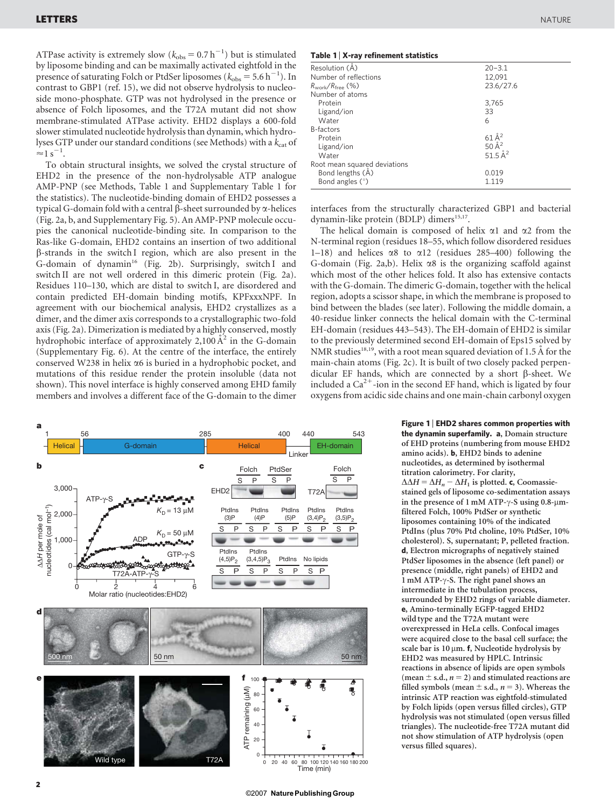ATPase activity is extremely slow  $(k_{obs} = 0.7 h^{-1})$  but is stimulated by liposome binding and can be maximally activated eightfold in the presence of saturating Folch or PtdSer liposomes ( $k_{\text{obs}} = 5.6 \text{ h}^{-1}$ ). In contrast to GBP1 (ref. 15), we did not observe hydrolysis to nucleoside mono-phosphate. GTP was not hydrolysed in the presence or absence of Folch liposomes, and the T72A mutant did not show membrane-stimulated ATPase activity. EHD2 displays a 600-fold slower stimulated nucleotide hydrolysis than dynamin, which hydrolyses GTP under our standard conditions (see Methods) with a  $k_{\text{cat}}$  of  $\approx$  1 s<sup>-1</sup>.

To obtain structural insights, we solved the crystal structure of EHD2 in the presence of the non-hydrolysable ATP analogue AMP-PNP (see Methods, Table 1 and Supplementary Table 1 for the statistics). The nucleotide-binding domain of EHD2 possesses a typical G-domain fold with a central  $\beta$ -sheet surrounded by  $\alpha$ -helices (Fig. 2a, b, and Supplementary Fig. 5). An AMP-PNP molecule occupies the canonical nucleotide-binding site. In comparison to the Ras-like G-domain, EHD2 contains an insertion of two additional b-strands in the switch I region, which are also present in the G-domain of dynamin<sup>16</sup> (Fig. 2b). Surprisingly, switch I and switch II are not well ordered in this dimeric protein (Fig. 2a). Residues 110–130, which are distal to switch I, are disordered and contain predicted EH-domain binding motifs, KPFxxxNPF. In agreement with our biochemical analysis, EHD2 crystallizes as a dimer, and the dimer axis corresponds to a crystallographic two-fold axis (Fig. 2a). Dimerization is mediated by a highly conserved, mostly hydrophobic interface of approximately  $2,100 \mathrm{\AA}^2$  in the G-domain (Supplementary Fig. 6). At the centre of the interface, the entirely conserved W238 in helix  $\alpha$ 6 is buried in a hydrophobic pocket, and mutations of this residue render the protein insoluble (data not shown). This novel interface is highly conserved among EHD family members and involves a different face of the G-domain to the dimer



#### Table 1 <sup>|</sup> X-ray refinement statistics

| Table T A-Tay Termement Statistics |                    |
|------------------------------------|--------------------|
| Resolution (Å)                     | $20 - 3.1$         |
| Number of reflections              | 12.091             |
| $R_{work}/R_{free}$ (%)            | 23.6/27.6          |
| Number of atoms                    |                    |
| Protein                            | 3,765              |
| Ligand/ion                         | 33                 |
| Water                              | 6                  |
| B-factors                          |                    |
| Protein                            | $61\mathrm{\AA}^2$ |
| Ligand/ion                         | 50 $\AA^2$         |
| Water                              | 51.5 $A^2$         |
| Root mean squared deviations       |                    |
| Bond lengths (A)                   | 0.019              |
| Bond angles $(°)$                  | 1.119              |

interfaces from the structurally characterized GBP1 and bacterial dynamin-like protein (BDLP) dimers<sup>15,17</sup>.

The helical domain is composed of helix  $\alpha$ 1 and  $\alpha$ 2 from the N-terminal region (residues 18–55, which follow disordered residues 1–18) and helices  $\alpha$ 8 to  $\alpha$ 12 (residues 285–400) following the G-domain (Fig. 2a,b). Helix  $\alpha$ 8 is the organizing scaffold against which most of the other helices fold. It also has extensive contacts with the G-domain. The dimeric G-domain, together with the helical region, adopts a scissor shape, in which the membrane is proposed to bind between the blades (see later). Following the middle domain, a 40-residue linker connects the helical domain with the C-terminal EH-domain (residues 443–543). The EH-domain of EHD2 is similar to the previously determined second EH-domain of Eps15 solved by NMR studies<sup>18,19</sup>, with a root mean squared deviation of 1.5 Å for the main-chain atoms (Fig. 2c). It is built of two closely packed perpendicular EF hands, which are connected by a short  $\beta$ -sheet. We included a  $Ca^{2+}$ -ion in the second EF hand, which is ligated by four oxygens from acidic side chains and one main-chain carbonyl oxygen

> Figure 1 <sup>|</sup> EHD2 shares common properties with the dynamin superfamily. a, Domain structure of EHD proteins (numbering from mouse EHD2 amino acids). b, EHD2 binds to adenine nucleotides, as determined by isothermal titration calorimetry. For clarity,  $\Delta \Delta H = \Delta H_n - \Delta H_1$  is plotted. c, Coomassiestained gels of liposome co-sedimentation assays in the presence of 1 mM ATP- $\gamma$ -S using 0.8- $\mu$ mfiltered Folch, 100% PtdSer or synthetic liposomes containing 10% of the indicated PtdIns (plus 70% Ptd choline, 10% PtdSer, 10% cholesterol). S, supernatant; P, pelleted fraction. d, Electron micrographs of negatively stained PtdSer liposomes in the absence (left panel) or presence (middle, right panels) of EHD2 and 1 mM ATP- $\gamma$ -S. The right panel shows an intermediate in the tubulation process, surrounded by EHD2 rings of variable diameter. e, Amino-terminally EGFP-tagged EHD2 wild type and the T72A mutant were overexpressed in HeLa cells. Confocal images were acquired close to the basal cell surface; the scale bar is  $10 \mu m$ . f, Nucleotide hydrolysis by EHD2 was measured by HPLC. Intrinsic reactions in absence of lipids are open symbols (mean  $\pm$  s.d.,  $n = 2$ ) and stimulated reactions are filled symbols (mean  $\pm$  s.d.,  $n = 3$ ). Whereas the intrinsic ATP reaction was eightfold-stimulated by Folch lipids (open versus filled circles), GTP hydrolysis was not stimulated (open versus filled triangles). The nucleotide-free T72A mutant did not show stimulation of ATP hydrolysis (open versus filled squares).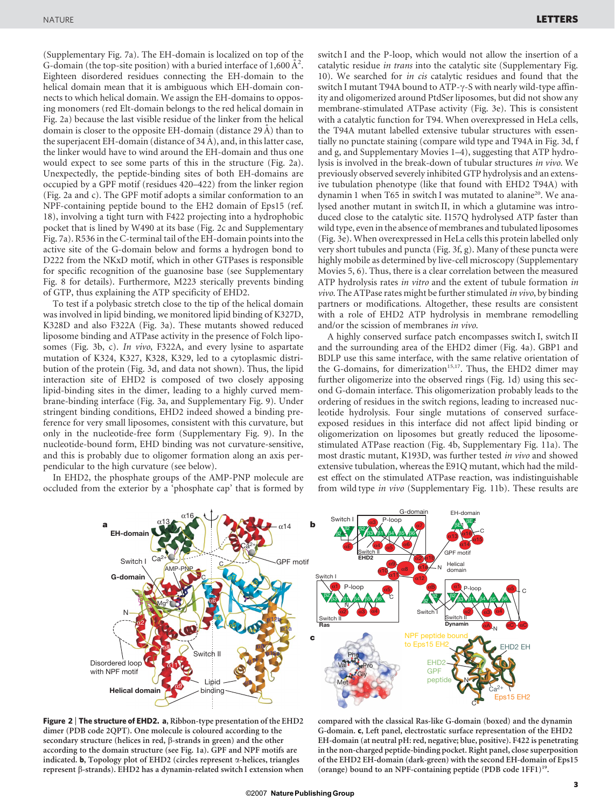(Supplementary Fig. 7a). The EH-domain is localized on top of the G-domain (the top-site position) with a buried interface of  $1,600 \, \text{\AA}^2$ . Eighteen disordered residues connecting the EH-domain to the helical domain mean that it is ambiguous which EH-domain connects to which helical domain. We assign the EH-domains to opposing monomers (red Elt-domain belongs to the red helical domain in Fig. 2a) because the last visible residue of the linker from the helical domain is closer to the opposite EH-domain (distance 29 A) than to the superjacent EH-domain (distance of  $34$  A), and, in this latter case, the linker would have to wind around the EH-domain and thus one would expect to see some parts of this in the structure (Fig. 2a). Unexpectedly, the peptide-binding sites of both EH-domains are occupied by a GPF motif (residues 420–422) from the linker region (Fig. 2a and c). The GPF motif adopts a similar conformation to an NPF-containing peptide bound to the EH2 domain of Eps15 (ref. 18), involving a tight turn with F422 projecting into a hydrophobic pocket that is lined by W490 at its base (Fig. 2c and Supplementary Fig. 7a). R536 in the C-terminal tail of the EH-domain points into the active site of the G-domain below and forms a hydrogen bond to D222 from the NKxD motif, which in other GTPases is responsible for specific recognition of the guanosine base (see Supplementary Fig. 8 for details). Furthermore, M223 sterically prevents binding of GTP, thus explaining the ATP specificity of EHD2.

To test if a polybasic stretch close to the tip of the helical domain was involved in lipid binding, we monitored lipid binding of K327D, K328D and also F322A (Fig. 3a). These mutants showed reduced liposome binding and ATPase activity in the presence of Folch liposomes (Fig. 3b, c). In vivo, F322A, and every lysine to aspartate mutation of K324, K327, K328, K329, led to a cytoplasmic distribution of the protein (Fig. 3d, and data not shown). Thus, the lipid interaction site of EHD2 is composed of two closely apposing lipid-binding sites in the dimer, leading to a highly curved membrane-binding interface (Fig. 3a, and Supplementary Fig. 9). Under stringent binding conditions, EHD2 indeed showed a binding preference for very small liposomes, consistent with this curvature, but only in the nucleotide-free form (Supplementary Fig. 9). In the nucleotide-bound form, EHD binding was not curvature-sensitive, and this is probably due to oligomer formation along an axis perpendicular to the high curvature (see below).

In EHD2, the phosphate groups of the AMP-PNP molecule are occluded from the exterior by a 'phosphate cap' that is formed by switch I and the P-loop, which would not allow the insertion of a catalytic residue in trans into the catalytic site (Supplementary Fig. 10). We searched for in cis catalytic residues and found that the switch I mutant T94A bound to ATP- $\gamma$ -S with nearly wild-type affinity and oligomerized around PtdSer liposomes, but did not show any membrane-stimulated ATPase activity (Fig. 3e). This is consistent with a catalytic function for T94. When overexpressed in HeLa cells, the T94A mutant labelled extensive tubular structures with essentially no punctate staining (compare wild type and T94A in Fig. 3d, f and g, and Supplementary Movies 1–4), suggesting that ATP hydrolysis is involved in the break-down of tubular structures in vivo. We previously observed severely inhibited GTP hydrolysis and an extensive tubulation phenotype (like that found with EHD2 T94A) with dynamin 1 when T65 in switch I was mutated to alanine<sup>20</sup>. We analysed another mutant in switch II, in which a glutamine was introduced close to the catalytic site. I157Q hydrolysed ATP faster than wild type, even in the absence of membranes and tubulated liposomes (Fig. 3e). When overexpressed in HeLa cells this protein labelled only very short tubules and puncta (Fig. 3f, g). Many of these puncta were highly mobile as determined by live-cell microscopy (Supplementary Movies 5, 6). Thus, there is a clear correlation between the measured ATP hydrolysis rates in vitro and the extent of tubule formation in vivo. The ATPase rates might be further stimulated in vivo, by binding partners or modifications. Altogether, these results are consistent with a role of EHD2 ATP hydrolysis in membrane remodelling and/or the scission of membranes in vivo.

A highly conserved surface patch encompasses switch I, switch II and the surrounding area of the EHD2 dimer (Fig. 4a). GBP1 and BDLP use this same interface, with the same relative orientation of the G-domains, for dimerization<sup>15,17</sup>. Thus, the EHD2 dimer may further oligomerize into the observed rings (Fig. 1d) using this second G-domain interface. This oligomerization probably leads to the ordering of residues in the switch regions, leading to increased nucleotide hydrolysis. Four single mutations of conserved surfaceexposed residues in this interface did not affect lipid binding or oligomerization on liposomes but greatly reduced the liposomestimulated ATPase reaction (Fig. 4b, Supplementary Fig. 11a). The most drastic mutant, K193D, was further tested in vivo and showed extensive tubulation, whereas the E91Q mutant, which had the mildest effect on the stimulated ATPase reaction, was indistinguishable from wild type in vivo (Supplementary Fig. 11b). These results are



Figure 2 | The structure of EHD2. a, Ribbon-type presentation of the EHD2 dimer (PDB code 2QPT). One molecule is coloured according to the secondary structure (helices in red,  $\beta$ -strands in green) and the other according to the domain structure (see Fig. 1a). GPF and NPF motifs are indicated. **b**, Topology plot of EHD2 (circles represent  $\alpha$ -helices, triangles represent β-strands). EHD2 has a dynamin-related switch I extension when

compared with the classical Ras-like G-domain (boxed) and the dynamin G-domain. c, Left panel, electrostatic surface representation of the EHD2 EH-domain (at neutral pH: red, negative; blue, positive). F422 is penetrating in the non-charged peptide-binding pocket. Right panel, close superposition of the EHD2 EH-domain (dark-green) with the second EH-domain of Eps15 (orange) bound to an NPF-containing peptide (PDB code 1FF1)<sup>19</sup>.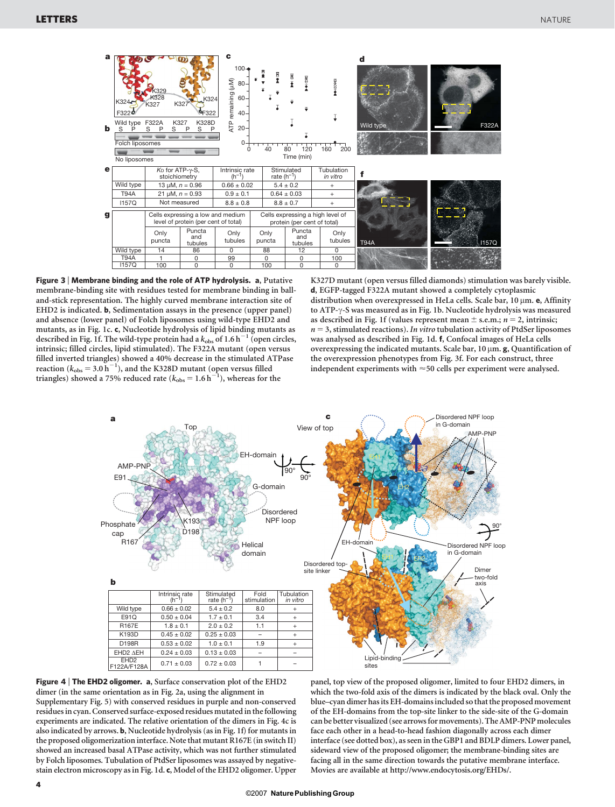

Figure 3 <sup>|</sup> Membrane binding and the role of ATP hydrolysis. a, Putative membrane-binding site with residues tested for membrane binding in balland-stick representation. The highly curved membrane interaction site of EHD2 is indicated. b, Sedimentation assays in the presence (upper panel) and absence (lower panel) of Folch liposomes using wild-type EHD2 and mutants, as in Fig. 1c. c, Nucleotide hydrolysis of lipid binding mutants as described in Fig. 1f. The wild-type protein had a  $k_{\text{obs}}$  of 1.6 h<sup>-1</sup> (open circles, intrinsic; filled circles, lipid stimulated). The F322A mutant (open versus filled inverted triangles) showed a 40% decrease in the stimulated ATPase reaction  $(k_{\text{obs}} = 3.0 \,\text{h}^{-1})$ , and the K328D mutant (open versus filled triangles) showed a 75% reduced rate  $(k_{obs} = 1.6 h^{-1})$ , whereas for the

K327D mutant (open versus filled diamonds) stimulation was barely visible. d, EGFP-tagged F322A mutant showed a completely cytoplasmic distribution when overexpressed in HeLa cells. Scale bar, 10 µm. e, Affinity to ATP- $\gamma$ -S was measured as in Fig. 1b. Nucleotide hydrolysis was measured as described in Fig. 1f (values represent mean  $\pm$  s.e.m.;  $n = 2$ , intrinsic;  $n = 3$ , stimulated reactions). In vitro tubulation activity of PtdSer liposomes was analysed as described in Fig. 1d. f, Confocal images of HeLa cells overexpressing the indicated mutants. Scale bar,  $10 \mu m$ . g, Quantification of the overexpression phenotypes from Fig. 3f. For each construct, three independent experiments with  $\approx$  50 cells per experiment were analysed.



Figure 4 | The EHD2 oligomer. a, Surface conservation plot of the EHD2 dimer (in the same orientation as in Fig. 2a, using the alignment in Supplementary Fig. 5) with conserved residues in purple and non-conserved residues in cyan. Conserved surface-exposed residues mutated in the following experiments are indicated. The relative orientation of the dimers in Fig. 4c is also indicated by arrows. b, Nucleotide hydrolysis (as in Fig. 1f) for mutants in the proposed oligomerization interface. Note that mutant R167E (in switch II) showed an increased basal ATPase activity, which was not further stimulated by Folch liposomes. Tubulation of PtdSer liposomes was assayed by negativestain electron microscopy as in Fig. 1d. c, Model of the EHD2 oligomer. Upper

panel, top view of the proposed oligomer, limited to four EHD2 dimers, in which the two-fold axis of the dimers is indicated by the black oval. Only the blue–cyan dimer hasits EH-domainsincluded so that the proposed movement of the EH-domains from the top-site linker to the side-site of the G-domain can be better visualized (see arrows for movements). The AMP-PNP molecules face each other in a head-to-head fashion diagonally across each dimer interface (see dotted box), as seen in the GBP1 and BDLP dimers. Lower panel, sideward view of the proposed oligomer; the membrane-binding sites are facing all in the same direction towards the putative membrane interface. Movies are available at<http://www.endocytosis.org/EHDs/>.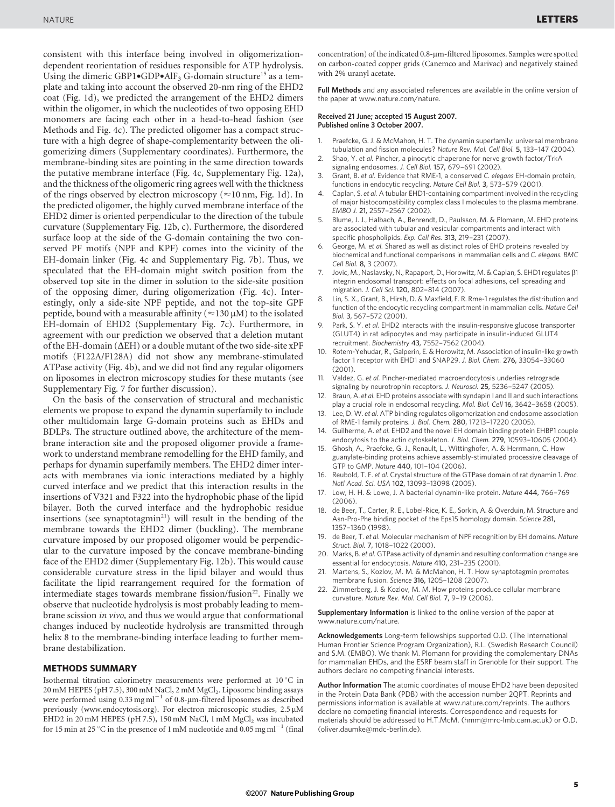consistent with this interface being involved in oligomerizationdependent reorientation of residues responsible for ATP hydrolysis. Using the dimeric GBP1 $\bullet$ GDP $\bullet$ AlF<sub>3</sub> G-domain structure<sup>15</sup> as a template and taking into account the observed 20-nm ring of the EHD2 coat (Fig. 1d), we predicted the arrangement of the EHD2 dimers within the oligomer, in which the nucleotides of two opposing EHD monomers are facing each other in a head-to-head fashion (see Methods and Fig. 4c). The predicted oligomer has a compact structure with a high degree of shape-complementarity between the oligomerizing dimers (Supplementary coordinates). Furthermore, the membrane-binding sites are pointing in the same direction towards the putative membrane interface (Fig. 4c, Supplementary Fig. 12a), and the thickness of the oligomeric ring agrees well with the thickness of the rings observed by electron microscopy ( $\approx$ 10 nm, Fig. 1d). In the predicted oligomer, the highly curved membrane interface of the EHD2 dimer is oriented perpendicular to the direction of the tubule curvature (Supplementary Fig. 12b, c). Furthermore, the disordered surface loop at the side of the G-domain containing the two conserved PF motifs (NPF and KPF) comes into the vicinity of the EH-domain linker (Fig. 4c and Supplementary Fig. 7b). Thus, we speculated that the EH-domain might switch position from the observed top site in the dimer in solution to the side-site position of the opposing dimer, during oligomerization (Fig. 4c). Interestingly, only a side-site NPF peptide, and not the top-site GPF peptide, bound with a measurable affinity ( $\approx$ 130  $\mu$ M) to the isolated EH-domain of EHD2 (Supplementary Fig. 7c). Furthermore, in agreement with our prediction we observed that a deletion mutant of the EH-domain ( $\Delta$ EH) or a double mutant of the two side-site xPF motifs (F122A/F128A) did not show any membrane-stimulated ATPase activity (Fig. 4b), and we did not find any regular oligomers on liposomes in electron microscopy studies for these mutants (see Supplementary Fig. 7 for further discussion).

On the basis of the conservation of structural and mechanistic elements we propose to expand the dynamin superfamily to include other multidomain large G-domain proteins such as EHDs and BDLPs. The structure outlined above, the architecture of the membrane interaction site and the proposed oligomer provide a framework to understand membrane remodelling for the EHD family, and perhaps for dynamin superfamily members. The EHD2 dimer interacts with membranes via ionic interactions mediated by a highly curved interface and we predict that this interaction results in the insertions of V321 and F322 into the hydrophobic phase of the lipid bilayer. Both the curved interface and the hydrophobic residue insertions (see synaptotagmin<sup>21</sup>) will result in the bending of the membrane towards the EHD2 dimer (buckling). The membrane curvature imposed by our proposed oligomer would be perpendicular to the curvature imposed by the concave membrane-binding face of the EHD2 dimer (Supplementary Fig. 12b). This would cause considerable curvature stress in the lipid bilayer and would thus facilitate the lipid rearrangement required for the formation of intermediate stages towards membrane fission/fusion<sup>22</sup>. Finally we observe that nucleotide hydrolysis is most probably leading to membrane scission in vivo, and thus we would argue that conformational changes induced by nucleotide hydrolysis are transmitted through helix 8 to the membrane-binding interface leading to further membrane destabilization.

#### METHODS SUMMARY

Isothermal titration calorimetry measurements were performed at  $10\,^{\circ}\mathrm{C}$  in 20 mM HEPES (pH 7.5), 300 mM NaCl, 2 mM MgCl<sub>2</sub>. Liposome binding assays were performed using  $0.33$  mg ml<sup> $^{-1}$ </sup> of 0.8-µm-filtered liposomes as described previously [\(www.endocytosis.org](www.endocytosis.org)). For electron microscopic studies, 2.5 µM EHD2 in 20 mM HEPES (pH 7.5), 150 mM NaCl, 1 mM  $MgCl<sub>2</sub>$  was incubated for 15 min at 25 °C in the presence of 1 mM nucleotide and 0.05 mg ml<sup>-1</sup> (final concentration) of the indicated 0.8-um-filtered liposomes. Samples were spotted on carbon-coated copper grids (Canemco and Marivac) and negatively stained with 2% uranyl acetate.

Full Methods and any associated references are available in the online version of the paper at<www.nature.com/nature>.

Received 21 June; accepted 15 August 2007. Published online 3 October 2007.

- 1. Praefcke, G. J. & McMahon, H. T. The dynamin superfamily: universal membrane tubulation and fission molecules? Nature Rev. Mol. Cell Biol. 5, 133–147 (2004).
- 2. Shao, Y. et al. Pincher, a pinocytic chaperone for nerve growth factor/TrkA signaling endosomes. J. Cell Biol. 157, 679–691 (2002).
- 3. Grant, B. et al. Evidence that RME-1, a conserved C. elegans EH-domain protein, functions in endocytic recycling. Nature Cell Biol. 3, 573–579 (2001).
- 4. Caplan, S. et al. A tubular EHD1-containing compartment involved in the recycling of major histocompatibility complex class I molecules to the plasma membrane. EMBO J. 21, 2557–2567 (2002).
- 5. Blume, J. J., Halbach, A., Behrendt, D., Paulsson, M. & Plomann, M. EHD proteins are associated with tubular and vesicular compartments and interact with specific phospholipids. Exp. Cell Res. 313, 219–231 (2007).
- George, M. et al. Shared as well as distinct roles of EHD proteins revealed by biochemical and functional comparisons in mammalian cells and C. elegans. BMC Cell Biol. 8, 3 (2007).
- 7. Jovic, M., Naslavsky, N., Rapaport, D., Horowitz, M. & Caplan, S. EHD1 regulates  $\beta$ 1 integrin endosomal transport: effects on focal adhesions, cell spreading and migration. J. Cell Sci. 120, 802–814 (2007).
- 8. Lin, S. X., Grant, B., Hirsh, D. & Maxfield, F. R. Rme-1 regulates the distribution and function of the endocytic recycling compartment in mammalian cells. Nature Cell Biol. 3, 567–572 (2001).
- Park, S. Y. et al. EHD2 interacts with the insulin-responsive glucose transporter (GLUT4) in rat adipocytes and may participate in insulin-induced GLUT4 recruitment. Biochemistry 43, 7552–7562 (2004).
- 10. Rotem-Yehudar, R., Galperin, E. & Horowitz, M. Association of insulin-like growth factor 1 receptor with EHD1 and SNAP29. J. Biol. Chem. 276, 33054–33060 (2001).
- 11. Valdez, G. et al. Pincher-mediated macroendocytosis underlies retrograde signaling by neurotrophin receptors. J. Neurosci. 25, 5236–5247 (2005).
- 12. Braun, A. et al. EHD proteins associate with syndapin I and II and such interactions play a crucial role in endosomal recycling. Mol. Biol. Cell 16, 3642–3658 (2005).
- 13. Lee, D. W. et al. ATP binding regulates oligomerization and endosome association of RME-1 family proteins. J. Biol. Chem. 280, 17213–17220 (2005).
- 14. Guilherme, A. et al. EHD2 and the novel EH domain binding protein EHBP1 couple endocytosis to the actin cytoskeleton. J. Biol. Chem. 279, 10593–10605 (2004).
- 15. Ghosh, A., Praefcke, G. J., Renault, L., Wittinghofer, A. & Herrmann, C. How guanylate-binding proteins achieve assembly-stimulated processive cleavage of GTP to GMP. Nature 440, 101–104 (2006).
- Reubold, T. F. et al. Crystal structure of the GTPase domain of rat dynamin 1. Proc. Natl Acad. Sci. USA 102, 13093–13098 (2005).
- 17. Low, H. H. & Lowe, J. A bacterial dynamin-like protein. Nature 444, 766–769  $(2006)$
- 18. de Beer, T., Carter, R. E., Lobel-Rice, K. E., Sorkin, A. & Overduin, M. Structure and Asn-Pro-Phe binding pocket of the Eps15 homology domain. Science 281, 1357–1360 (1998).
- 19. de Beer, T. et al. Molecular mechanism of NPF recognition by EH domains. Nature Struct. Biol. 7, 1018–1022 (2000).
- 20. Marks, B. et al. GTPase activity of dynamin and resulting conformation change are essential for endocytosis. Nature 410, 231–235 (2001).
- 21. Martens, S., Kozlov, M. M. & McMahon, H. T. How synaptotagmin promotes membrane fusion. Science 316, 1205–1208 (2007).
- 22. Zimmerberg, J. & Kozlov, M. M. How proteins produce cellular membrane curvature. Nature Rev. Mol. Cell Biol. 7, 9–19 (2006).

Supplementary Information is linked to the online version of the paper at <www.nature.com/nature>.

Acknowledgements Long-term fellowships supported O.D. (The International Human Frontier Science Program Organization), R.L. (Swedish Research Council) and S.M. (EMBO). We thank M. Plomann for providing the complementary DNAs for mammalian EHDs, and the ESRF beam staff in Grenoble for their support. The authors declare no competing financial interests.

Author Information The atomic coordinates of mouse EHD2 have been deposited in the Protein Data Bank (PDB) with the accession number 2QPT. Reprints and permissions information is available at [www.nature.com/reprints.](www.nature.com/reprints) The authors declare no competing financial interests. Correspondence and requests for materials should be addressed to H.T.McM. [\(hmm@mrc-lmb.cam.ac.uk\)](mailto:hmm@mrcmb.cam.ac.uk) or O.D. [\(oliver.daumke@mdc-berlin.de\).](mailto:oliver.daumke@mdcerlin.de)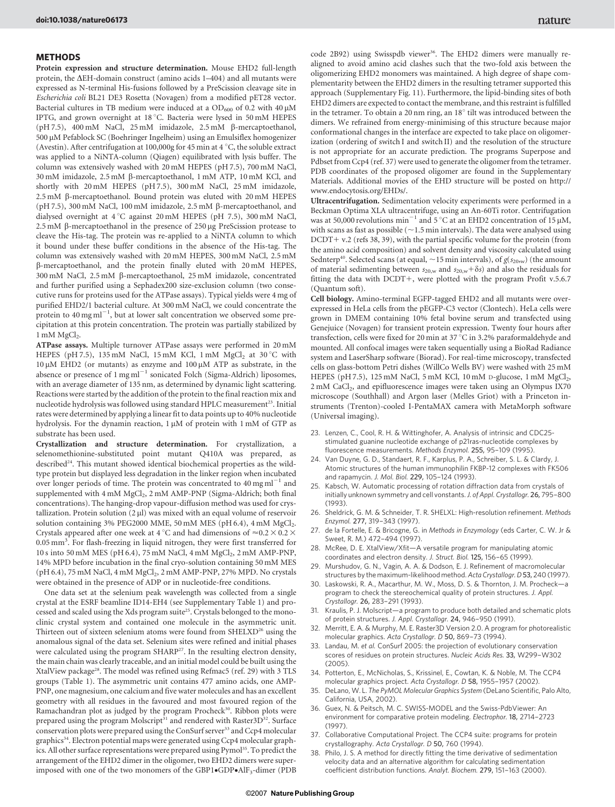### METHODS

Protein expression and structure determination. Mouse EHD2 full-length protein, the  $\Delta$ EH-domain construct (amino acids 1–404) and all mutants were expressed as N-terminal His-fusions followed by a PreScission cleavage site in Escherichia coli BL21 DE3 Rosetta (Novagen) from a modified pET28 vector. Bacterial cultures in TB medium were induced at a  $OD_{600}$  of 0.2 with 40  $\mu$ M IPTG, and grown overnight at 18 °C. Bacteria were lysed in 50 mM HEPES (pH 7.5),  $400 \text{ mM}$  NaCl,  $25 \text{ mM}$  imidazole,  $2.5 \text{ mM}$   $\beta$ -mercaptoethanol, 500 mM Pefablock SC (Boehringer Ingelheim) using an Emulsiflex homogenizer (Avestin). After centrifugation at 100,000g for 45 min at 4  $\degree$ C, the soluble extract was applied to a NiNTA-column (Qiagen) equilibrated with lysis buffer. The column was extensively washed with 20 mM HEPES (pH 7.5), 700 mM NaCl, 30 mM imidazole, 2.5 mM b-mercaptoethanol, 1 mM ATP, 10 mM KCl, and shortly with 20 mM HEPES (pH 7.5), 300 mM NaCl, 25 mM imidazole,  $2.5 \text{ mM } \beta$ -mercaptoethanol. Bound protein was eluted with  $20 \text{ mM }$  HEPES (pH 7.5), 300 mM NaCl, 100 mM imidazole, 2.5 mM  $\beta$ -mercaptoethanol, and dialysed overnight at 4 °C against 20 mM HEPES (pH 7.5), 300 mM NaCl,  $2.5 \text{ mM } \beta$ -mercaptoethanol in the presence of  $250 \mu$ g PreScission protease to cleave the His-tag. The protein was re-applied to a NiNTA column to which it bound under these buffer conditions in the absence of the His-tag. The column was extensively washed with 20 mM HEPES, 300 mM NaCl, 2.5 mM b-mercaptoethanol, and the protein finally eluted with 20 mM HEPES, 300 mM NaCl, 2.5 mM b-mercaptoethanol, 25 mM imidazole, concentrated and further purified using a Sephadex200 size-exclusion column (two consecutive runs for proteins used for the ATPase assays). Typical yields were 4 mg of purified EHD2/1 bacterial culture. At 300 mM NaCl, we could concentrate the protein to 40 mg m $l^{-1}$ , but at lower salt concentration we observed some precipitation at this protein concentration. The protein was partially stabilized by  $1 \text{ mM } MgCl<sub>2</sub>$ .

ATPase assays. Multiple turnover ATPase assays were performed in 20 mM HEPES (pH 7.5), 135 mM NaCl, 15 mM KCl, 1 mM  $MgCl<sub>2</sub>$  at 30 °C with  $10 \mu$ M EHD2 (or mutants) as enzyme and  $100 \mu$ M ATP as substrate, in the absence or presence of  $1 \text{ mg ml}^{-1}$  sonicated Folch (Sigma-Aldrich) liposomes, with an average diameter of 135 nm, as determined by dynamic light scattering. Reactions were started by the addition of the protein to the final reaction mix and nucleotide hydrolysis was followed using standard HPLC measurement<sup>23</sup>. Initial rates were determined by applying a linear fit to data points up to 40% nucleotide hydrolysis. For the dynamin reaction, 1  $\mu$ M of protein with 1 mM of GTP as substrate has been used.

Crystallization and structure determination. For crystallization, a selenomethionine-substituted point mutant Q410A was prepared, as described<sup>24</sup>. This mutant showed identical biochemical properties as the wildtype protein but displayed less degradation in the linker region when incubated over longer periods of time. The protein was concentrated to  $40 \text{ mg} \text{ ml}^{-1}$  and supplemented with 4 mM MgCl<sub>2</sub>, 2 mM AMP-PNP (Sigma-Aldrich; both final concentrations). The hanging-drop vapour-diffusion method was used for crystallization. Protein solution  $(2 \mu l)$  was mixed with an equal volume of reservoir solution containing 3% PEG2000 MME, 50 mM MES (pH 6.4), 4 mM MgCl<sub>2</sub>. Crystals appeared after one week at 4 °C and had dimensions of  $\approx$  0.2  $\times$  0.2  $\times$ 0.05 mm<sup>3</sup>. For flash-freezing in liquid nitrogen, they were first transferred for 10 s into 50 mM MES (pH 6.4), 75 mM NaCl, 4 mM MgCl<sub>2</sub>, 2 mM AMP-PNP, 14% MPD before incubation in the final cryo-solution containing 50 mM MES (pH 6.4), 75 mM NaCl, 4 mM MgCl<sub>2</sub>, 2 mM AMP-PNP, 27% MPD. No crystals were obtained in the presence of ADP or in nucleotide-free conditions.

One data set at the selenium peak wavelength was collected from a single crystal at the ESRF beamline ID14-EH4 (see Supplementary Table 1) and processed and scaled using the Xds program suite25. Crystals belonged to the monoclinic crystal system and contained one molecule in the asymmetric unit. Thirteen out of sixteen selenium atoms were found from SHELXD<sup>26</sup> using the anomalous signal of the data set. Selenium sites were refined and initial phases were calculated using the program SHARP<sup>27</sup>. In the resulting electron density, the main chain was clearly traceable, and an initial model could be built using the XtalView package<sup>28</sup>. The model was refined using Refmac5 (ref. 29) with 3 TLS groups (Table 1). The asymmetric unit contains 477 amino acids, one AMP-PNP, one magnesium, one calcium and five water molecules and has an excellent geometry with all residues in the favoured and most favoured region of the Ramachandran plot as judged by the program Procheck<sup>30</sup>. Ribbon plots were prepared using the program Molscript<sup>31</sup> and rendered with Raster3D<sup>32</sup>. Surface conservation plots were prepared using the ConSurf server<sup>33</sup> and Ccp4 molecular graphics<sup>34</sup>. Electron potential maps were generated using Ccp4 molecular graphics. All other surface representations were prepared using Pymol<sup>35</sup>. To predict the arrangement of the EHD2 dimer in the oligomer, two EHD2 dimers were superimposed with one of the two monomers of the GBP1.GDP.AlF<sub>3</sub>-dimer (PDB code 2B92) using Swisspdb viewer<sup>36</sup>. The EHD2 dimers were manually realigned to avoid amino acid clashes such that the two-fold axis between the oligomerizing EHD2 monomers was maintained. A high degree of shape complementarity between the EHD2 dimers in the resulting tetramer supported this approach (Supplementary Fig. 11). Furthermore, the lipid-binding sites of both EHD2 dimers are expected to contact the membrane, and this restraint is fulfilled in the tetramer. To obtain a 20 nm ring, an  $18^\circ$  tilt was introduced between the dimers. We refrained from energy-minimising of this structure because major conformational changes in the interface are expected to take place on oligomerization (ordering of switch I and switch II) and the resolution of the structure is not appropriate for an accurate prediction. The programs Superpose and Pdbset from Ccp4 (ref. 37) were used to generate the oligomer from the tetramer. PDB coordinates of the proposed oligomer are found in the Supplementary Materials. Additional movies of the EHD structure will be posted on [http://](http://www.endocytosis.org/EHDs/) [www.endocytosis.org/EHDs/.](http://www.endocytosis.org/EHDs/)

Ultracentrifugation. Sedimentation velocity experiments were performed in a Beckman Optima XLA ultracentrifuge, using an An-60Ti rotor. Centrifugation was at 50,000 revolutions  $min^{-1}$  and 5 °C at an EHD2 concentration of 15  $\mu$ M, with scans as fast as possible ( $\sim$ 1.5 min intervals). The data were analysed using  $DCDT + v.2$  (refs 38, 39), with the partial specific volume for the protein (from the amino acid composition) and solvent density and viscosity calculated using Sednterp<sup>40</sup>. Selected scans (at equal,  $\sim$  15 min intervals), of  $g(s_{20w})$  (the amount of material sedimenting between  $s_{20,w}$  and  $s_{20,w}+\delta s$ ) and also the residuals for fitting the data with DCDT+, were plotted with the program Profit v.5.6.7 (Quantum soft).

Cell biology. Amino-terminal EGFP-tagged EHD2 and all mutants were overexpressed in HeLa cells from the pEGFP-C3 vector (Clontech). HeLa cells were grown in DMEM containing 10% fetal bovine serum and transfected using Genejuice (Novagen) for transient protein expression. Twenty four hours after transfection, cells were fixed for 20 min at 37  $^{\circ}$ C in 3.2% paraformaldehyde and mounted. All confocal images were taken sequentially using a BioRad Radiance system and LaserSharp software (Biorad). For real-time microscopy, transfected cells on glass-bottom Petri dishes (WillCo Wells BV) were washed with 25 mM HEPES (pH 7.5), 125 mM NaCl, 5 mM KCl, 10 mM D-glucose, 1 mM MgCl<sub>2</sub>, 2 mM CaCl<sub>2</sub>, and epifluorescence images were taken using an Olympus IX70 microscope (Southhall) and Argon laser (Melles Griot) with a Princeton instruments (Trenton)-cooled I-PentaMAX camera with MetaMorph software (Universal imaging).

- 23. Lenzen, C., Cool, R. H. & Wittinghofer, A. Analysis of intrinsic and CDC25 stimulated guanine nucleotide exchange of p21ras-nucleotide complexes by fluorescence measurements. Methods Enzymol. 255, 95–109 (1995).
- 24. Van Duyne, G. D., Standaert, R. F., Karplus, P. A., Schreiber, S. L. & Clardy, J. Atomic structures of the human immunophilin FKBP-12 complexes with FK506 and rapamycin. J. Mol. Biol. 229, 105–124 (1993).
- 25. Kabsch, W. Automatic processing of rotation diffraction data from crystals of initially unknown symmetry and cell vonstants. J. of Appl. Crystallogr. 26, 795-800 (1993).
- 26. Sheldrick, G. M. & Schneider, T. R. SHELXL: High-resolution refinement. Methods Enzymol. 277, 319–343 (1997).
- 27. de la Fortelle, E. & Bricogne, G. in Methods in Enzymology (eds Carter, C. W. Jr & Sweet, R. M.) 472–494 (1997).
- 28. McRee, D. E. XtalView/Xfit—A versatile program for manipulating atomic coordinates and electron density. J. Struct. Biol. 125, 156–65 (1999).
- 29. Murshudov, G. N., Vagin, A. A. & Dodson, E. J. Refinement of macromolecular structures by the maximum-likelihood method. Acta Crystallogr. D 53, 240 (1997).
- 30. Laskowski, R. A., Macarthur, M. W., Moss, D. S. & Thornton, J. M. Procheck—a program to check the stereochemical quality of protein structures. J. Appl. Crystallogr. 26, 283–291 (1993).
- 31. Kraulis, P. J. Molscript—a program to produce both detailed and schematic plots of protein structures. J. Appl. Crystallogr. 24, 946–950 (1991).
- 32. Merritt, E. A. & Murphy, M. E. Raster3D Version 2.0. A program for photorealistic molecular graphics. Acta Crystallogr. D 50, 869–73 (1994).
- Landau, M. et al. ConSurf 2005: the projection of evolutionary conservation scores of residues on protein structures. Nucleic Acids Res. 33, W299–W302 (2005).
- 34. Potterton, E., McNicholas, S., Krissinel, E., Cowtan, K. & Noble, M. The CCP4 molecular graphics project. Acta Crystallogr. D 58, 1955–1957 (2002).
- DeLano, W. L. The PyMOL Molecular Graphics System (DeLano Scientific, Palo Alto, California, USA, 2002).
- 36. Guex, N. & Peitsch, M. C. SWISS-MODEL and the Swiss-PdbViewer: An environment for comparative protein modeling. Electrophor. 18, 2714–2723 (1997).
- 37. Collaborative Computational Project. The CCP4 suite: programs for protein crystallography. Acta Crystallogr. D 50, 760 (1994).
- 38. Philo, J. S. A method for directly fitting the time derivative of sedimentation velocity data and an alternative algorithm for calculating sedimentation coefficient distribution functions. Analyt. Biochem. 279, 151–163 (2000).